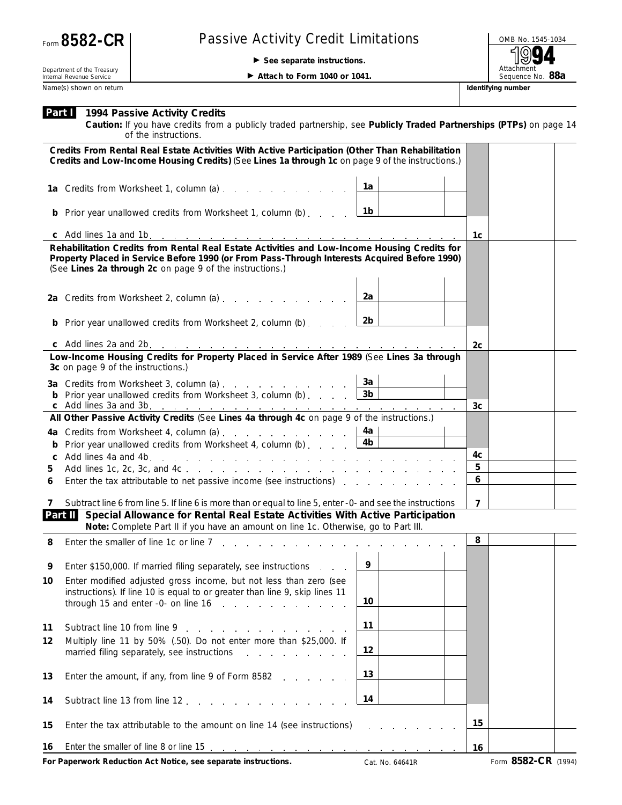## Passive Activity Credit Limitations **Passive Activity Credit Limitations**

© **See separate instructions.**

Attachment<br>Sequence No. 88a

Department of the Treasury Internal Revenue Service Name(s) shown on return **Identifying number Identifying number Identifying number Identifying number** 

▶ Attach to Form 1040 or 1041.

|        | <b>Part 1994 Passive Activity Credits</b><br>Caution: If you have credits from a publicly traded partnership, see Publicly Traded Partnerships (PTPs) on page 14<br>of the instructions.                                                                 |                 |                |                     |  |
|--------|----------------------------------------------------------------------------------------------------------------------------------------------------------------------------------------------------------------------------------------------------------|-----------------|----------------|---------------------|--|
|        | Credits From Rental Real Estate Activities With Active Participation (Other Than Rehabilitation<br>Credits and Low-Income Housing Credits) (See Lines 1a through 1c on page 9 of the instructions.)                                                      |                 |                |                     |  |
|        | 1a Credits from Worksheet 1, column (a)                                                                                                                                                                                                                  | 1a              |                |                     |  |
|        | <b>b</b> Prior year unallowed credits from Worksheet 1, column (b)                                                                                                                                                                                       | 1b              |                |                     |  |
|        |                                                                                                                                                                                                                                                          |                 | 1c             |                     |  |
|        | Rehabilitation Credits from Rental Real Estate Activities and Low-Income Housing Credits for<br>Property Placed in Service Before 1990 (or From Pass-Through Interests Acquired Before 1990)<br>(See Lines 2a through 2c on page 9 of the instructions.) |                 |                |                     |  |
|        | 2a Credits from Worksheet 2, column (a)                                                                                                                                                                                                                  | 2a              |                |                     |  |
|        | <b>b</b> Prior year unallowed credits from Worksheet 2, column (b)                                                                                                                                                                                       | 2b              |                |                     |  |
|        |                                                                                                                                                                                                                                                          |                 | 2c             |                     |  |
|        | Low-Income Housing Credits for Property Placed in Service After 1989 (See Lines 3a through<br>3c on page 9 of the instructions.)                                                                                                                         |                 |                |                     |  |
|        | 3a Credits from Worksheet 3, column (a) $\ldots$ $\ldots$ $\ldots$ $\ldots$                                                                                                                                                                              | 3a              |                |                     |  |
|        | <b>b</b> Prior year unallowed credits from Worksheet 3, column (b) $\ldots$ $\begin{array}{ccc} 3b & 3b \end{array}$                                                                                                                                     |                 | 3 <sub>c</sub> |                     |  |
|        | All Other Passive Activity Credits (See Lines 4a through 4c on page 9 of the instructions.)                                                                                                                                                              |                 |                |                     |  |
|        |                                                                                                                                                                                                                                                          | 4a              |                |                     |  |
|        | Prior year unallowed credits from Worksheet 4, column (b) $\ldots$ $\lfloor 4b \rfloor$                                                                                                                                                                  |                 |                |                     |  |
| C      |                                                                                                                                                                                                                                                          |                 | 4с<br>5        |                     |  |
| 5<br>6 | Enter the tax attributable to net passive income (see instructions) enterstanding the tax attributable to net passive income (see instructions)                                                                                                          |                 | 6              |                     |  |
|        |                                                                                                                                                                                                                                                          |                 |                |                     |  |
| 7      | Subtract line 6 from line 5. If line 6 is more than or equal to line 5, enter -0- and see the instructions                                                                                                                                               |                 | $\overline{7}$ |                     |  |
|        | Part II Special Allowance for Rental Real Estate Activities With Active Participation<br>Note: Complete Part II if you have an amount on line 1c. Otherwise, go to Part III.                                                                             |                 |                |                     |  |
| 8      | Enter the smaller of line 1c or line 7                                                                                                                                                                                                                   |                 | 8              |                     |  |
| 9      | Enter \$150,000. If married filing separately, see instructions                                                                                                                                                                                          | 9               |                |                     |  |
| 10     | Enter modified adjusted gross income, but not less than zero (see<br>instructions). If line 10 is equal to or greater than line 9, skip lines 11<br>through 15 and enter -0- on line 16                                                                  | 10              |                |                     |  |
| 11     | Subtract line 10 from line 9                                                                                                                                                                                                                             | 11              |                |                     |  |
| 12     | Multiply line 11 by 50% (.50). Do not enter more than \$25,000. If<br>married filing separately, see instructions<br>and the contract of the contract of the                                                                                             | 12              |                |                     |  |
| 13     | Enter the amount, if any, from line 9 of Form 8582                                                                                                                                                                                                       | 13              |                |                     |  |
| 14     | Subtract line 13 from line 12,                                                                                                                                                                                                                           | 14              |                |                     |  |
| 15     | Enter the tax attributable to the amount on line 14 (see instructions)                                                                                                                                                                                   |                 | 15             |                     |  |
| 16     | Enter the smaller of line 8 or line 15 $\ldots$ $\ldots$ $\ldots$ $\ldots$ $\ldots$ $\ldots$ $\ldots$ $\ldots$                                                                                                                                           |                 | 16             |                     |  |
|        | For Paperwork Reduction Act Notice, see separate instructions.                                                                                                                                                                                           | Cat. No. 64641R |                | Form 8582-CR (1994) |  |